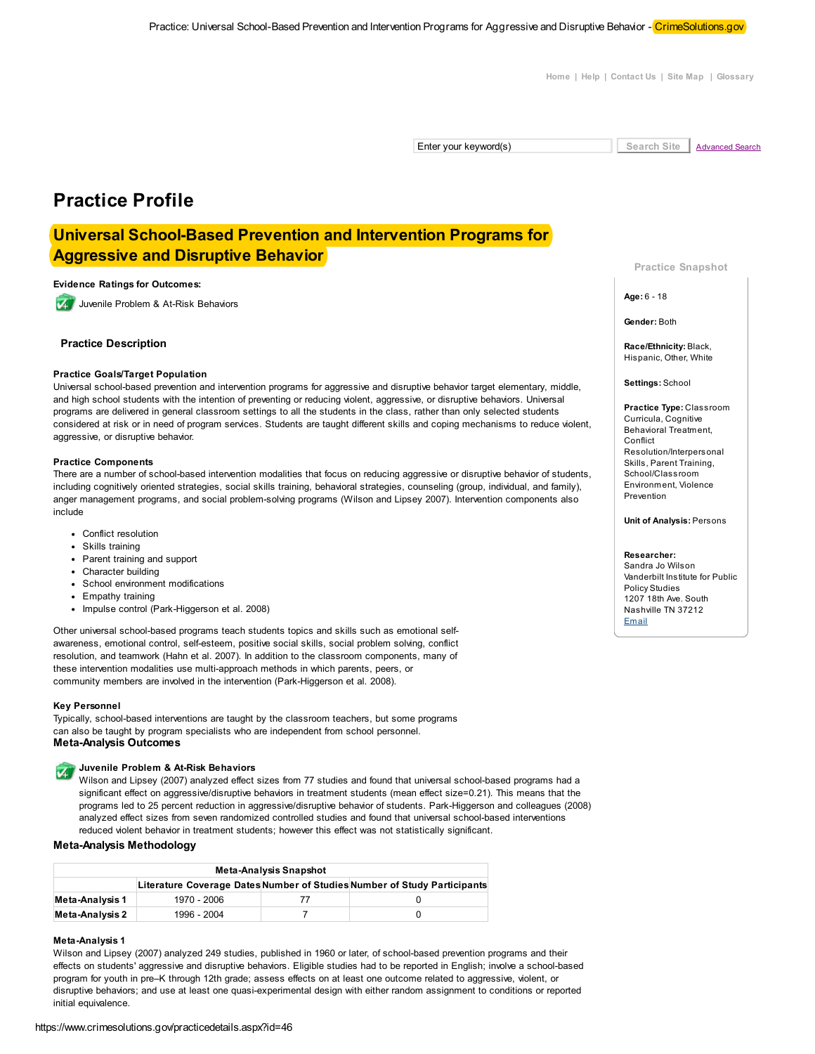Home | Help | Contact Us | Site Map | Glossary

Enter your keyword(s)

Search Site **Advanced Search** 

# **Practice Profile**

## **Universal School-Based Prevention and Intervention Programs for Aggressive and Disruptive Behavior**

#### **Evidence Ratings for Outcomes:**

Juvenile Problem & At-Risk Behaviors

#### **Practice Description**

#### **Practice Goals/Target Population**

Universal school-based prevention and intervention programs for aggressive and disruptive behavior target elementary, middle, and high school students with the intention of preventing or reducing violent, aggressive, or disruptive behaviors. Universal programs are delivered in general classroom settings to all the students in the class, rather than only selected students considered at risk or in need of program services. Students are taught different skills and coping mechanisms to reduce violent, aggressive, or disruptive behavior.

#### **Practice Components**

There are a number of school-based intervention modalities that focus on reducing aggressive or disruptive behavior of students, including cognitively oriented strategies, social skills training, behavioral strategies, counseling (group, individual, and family), anger management programs, and social problem-solving programs (Wilson and Lipsey 2007). Intervention components also include

- Conflict resolution
- · Skills training
- Parent training and support
- Character building
- School environment modifications
- Empathy training
- Impulse control (Park-Higgerson et al. 2008)

Other universal school-based programs teach students topics and skills such as emotional selfawareness, emotional control, self-esteem, positive social skills, social problem solving, conflict resolution, and teamwork (Hahn et al. 2007). In addition to the classroom components, many of these intervention modalities use multi-approach methods in which parents, peers, or community members are involved in the intervention (Park-Higgerson et al. 2008).

#### **Key Personnel**

Typically, school-based interventions are taught by the classroom teachers, but some programs can also be taught by program specialists who are independent from school personnel. **Meta-Analysis Outcomes** 

#### Juvenile Problem & At-Risk Behaviors  $\overline{\mathbf{v}}$

Wilson and Lipsey (2007) analyzed effect sizes from 77 studies and found that universal school-based programs had a significant effect on aggressive/disruptive behaviors in treatment students (mean effect size=0.21). This means that the programs led to 25 percent reduction in aggressive/disruptive behavior of students. Park-Higgerson and colleagues (2008) analyzed effect sizes from seven randomized controlled studies and found that universal school-based interventions reduced violent behavior in treatment students; however this effect was not statistically significant.

#### Meta-Analysis Methodology

| <b>Meta-Analysis Snapshot</b> |             |  |                                                                          |  |
|-------------------------------|-------------|--|--------------------------------------------------------------------------|--|
|                               |             |  | Literature Coverage Dates Number of Studies Number of Study Participants |  |
| <b>Meta-Analysis 1</b>        | 1970 - 2006 |  |                                                                          |  |
| Meta-Analysis 2               | 1996 - 2004 |  |                                                                          |  |

#### Meta-Analysis 1

Wilson and Lipsey (2007) analyzed 249 studies, published in 1960 or later, of school-based prevention programs and their effects on students' aggressive and disruptive behaviors. Eligible studies had to be reported in English; involve a school-based program for youth in pre-K through 12th grade; assess effects on at least one outcome related to aggressive, violent, or disruptive behaviors; and use at least one quasi-experimental design with either random assignment to conditions or reported initial equivalence.

**Practice Snapshot** 

 $Aae: 6 - 18$ 

Gender: Both

Race/Ethnicity: Black, Hispanic, Other, White

Settings: School

Practice Type: Classroom Curricula, Cognitive Behavioral Treatment, Conflict Resolution/Interpersonal Skills, Parent Training, School/Classroom Environment, Violence Prevention

**Unit of Analysis: Persons** 

#### Researcher:

Sandra Jo Wilson Vanderbilt Institute for Public **Policy Studies** 1207 18th Ave South Nashville TN 37212 Email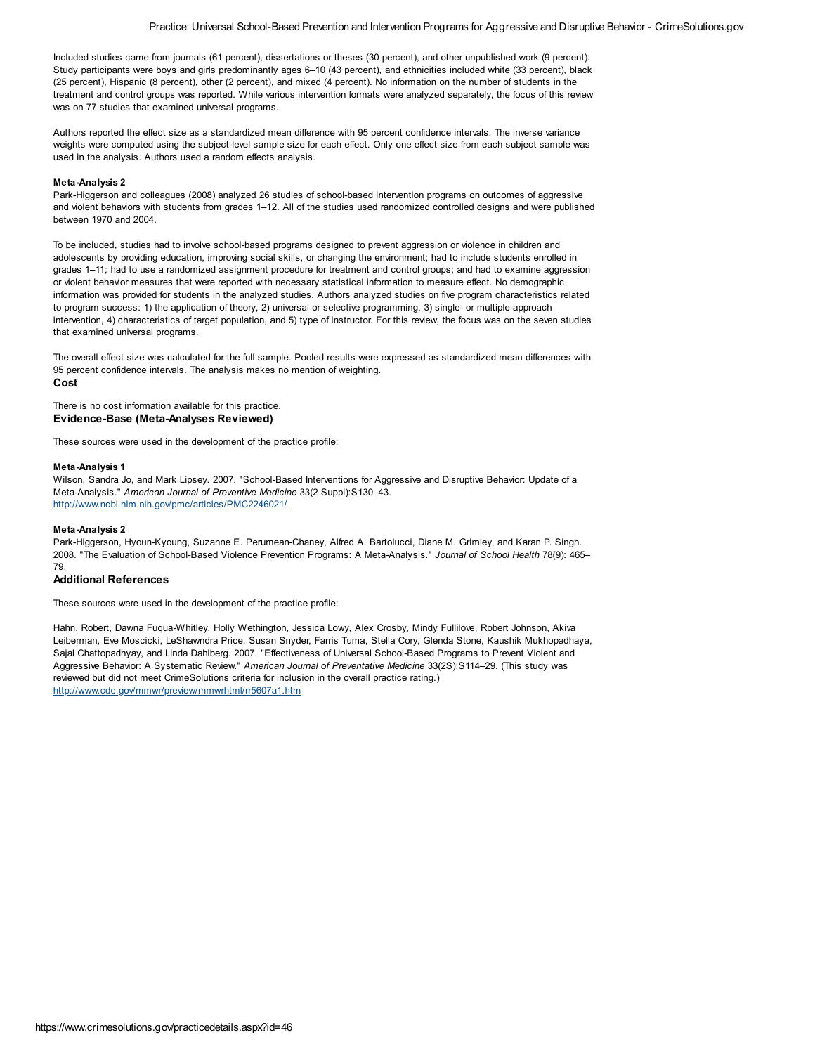Included studies came from journals (61 percent), dissertations or theses (30 percent), and other unpublished work (9 percent). Study participants were boys and girls predominantly ages 6–10 (43 percent), and ethnicities included white (33 percent), black (25 percent), Hispanic (8 percent), other (2 percent), and mixed (4 percent). No information on the number of students in the treatment and control groups was reported. While various intervention formats were analyzed separately, the focus of this review was on 77 studies that examined universal programs.

Authors reported the effect size as a standardized mean difference with 95 percent confidence intervals. The inverse variance weights were computed using the subject-level sample size for each effect. Only one effect size from each subject sample was used in the analysis. Authors used a random effects analysis.

#### **Meta-Analysis 2**

Park-Higgerson and colleagues (2008) analyzed 26 studies of school-based intervention programs on outcomes of aggressive and violent behaviors with students from grades 1–12. All of the studies used randomized controlled designs and were published between 1970 and 2004.

To be included, studies had to involve school-based programs designed to prevent aggression or violence in children and adolescents by providing education, improving social skills, or changing the environment; had to include students enrolled in grades 1–11; had to use a randomized assignment procedure for treatment and control groups; and had to examine aggression or violent behavior measures that were reported with necessary statistical information to measure effect. No demographic information was provided for students in the analyzed studies. Authors analyzed studies on five program characteristics related to program success: 1) the application of theory, 2) universal or selective programming, 3) single- or multiple-approach intervention, 4) characteristics of target population, and 5) type of instructor. For this review, the focus was on the seven studies that examined universal programs.

The overall effect size was calculated for the full sample. Pooled results were expressed as standardized mean differences with 95 percent confidence intervals. The analysis makes no mention of weighting. **Cost**

There is no cost information available for this practice. **Evidence-Base (Meta-Analyses Reviewed)**

These sources were used in the development of the practice profile:

#### **Meta-Analysis 1**

Wilson, Sandra Jo, and Mark Lipsey. 2007. "School-Based Interventions for Aggressive and Disruptive Behavior: Update of a Meta-Analysis." *American Journal of Preventive Medicine* 33(2 Suppl):S130–43. http://www.ncbi.nlm.nih.gov/pmc/articles/PMC2246021/

#### **Meta-Analysis 2**

Park-Higgerson, Hyoun-Kyoung, Suzanne E. Perumean-Chaney, Alfred A. Bartolucci, Diane M. Grimley, and Karan P. Singh. 2008. "The Evaluation of School-Based Violence Prevention Programs: A Meta-Analysis." *Journal of School Health* 78(9): 465– 79.

#### **Additional References**

These sources were used in the development of the practice profile:

Hahn, Robert, Dawna Fuqua-Whitley, Holly Wethington, Jessica Lowy, Alex Crosby, Mindy Fullilove, Robert Johnson, Akiva Leiberman, Eve Moscicki, LeShawndra Price, Susan Snyder, Farris Tuma, Stella Cory, Glenda Stone, Kaushik Mukhopadhaya, Sajal Chattopadhyay, and Linda Dahlberg. 2007. "Effectiveness of Universal School-Based Programs to Prevent Violent and Aggressive Behavior: A Systematic Review." *American Journal of Preventative Medicine* 33(2S):S114–29. (This study was reviewed but did not meet CrimeSolutions criteria for inclusion in the overall practice rating.) http://www.cdc.gov/mmwr/preview/mmwrhtml/rr5607a1.htm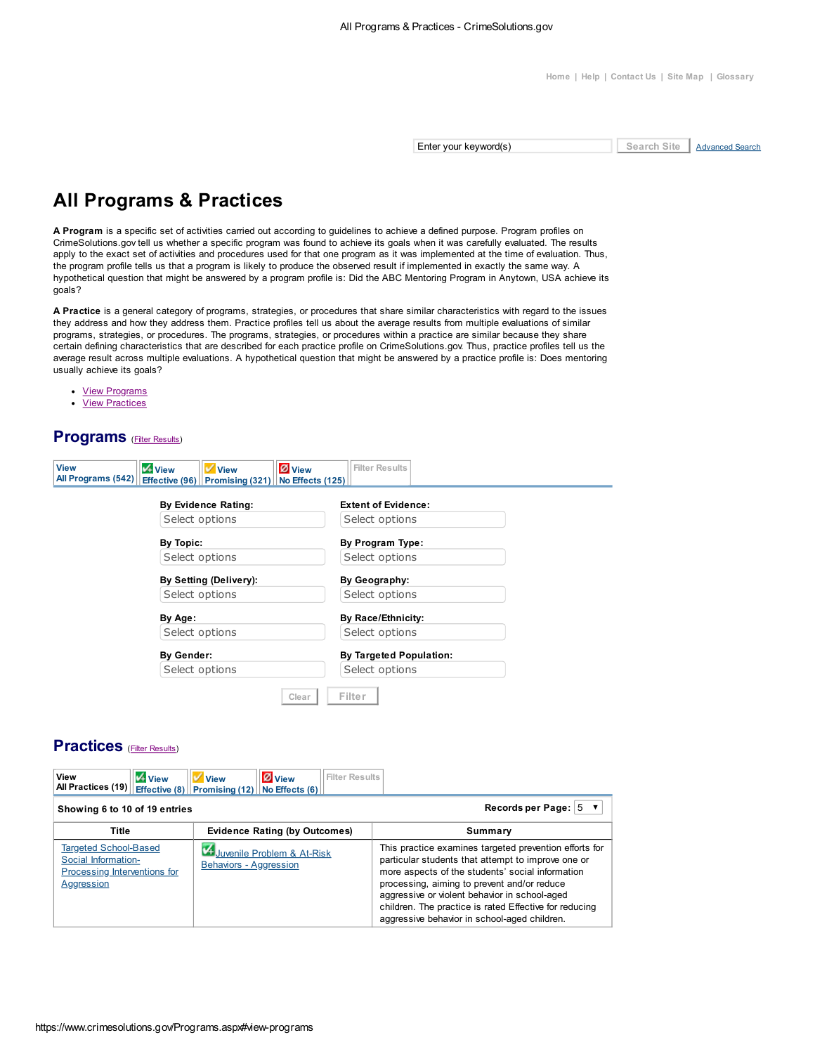Enter your keyword(s)

Search Site **Advanced Search** 

# **All Programs & Practices**

A Program is a specific set of activities carried out according to guidelines to achieve a defined purpose. Program profiles on CrimeSolutions.gov tell us whether a specific program was found to achieve its goals when it was carefully evaluated. The results apply to the exact set of activities and procedures used for that one program as it was implemented at the time of evaluation. Thus, the program profile tells us that a program is likely to produce the observed result if implemented in exactly the same way. A hypothetical question that might be answered by a program profile is: Did the ABC Mentoring Program in Anytown, USA achieve its goals?

A Practice is a general category of programs, strategies, or procedures that share similar characteristics with regard to the issues they address and how they address them. Practice profiles tell us about the average results from multiple evaluations of similar programs, strategies, or procedures. The programs, strategies, or procedures within a practice are similar because they share certain defining characteristics that are described for each practice profile on CrimeSolutions.gov. Thus, practice profiles tell us the average result across multiple evaluations. A hypothetical question that might be answered by a practice profile is: Does mentoring usually achieve its goals?

- View Programs
- View Practices

### **Programs** (Filter Results)

| <b>View</b><br>All Programs (542) | View       | <b>View</b><br>Effective (96)   Promising (321)   No Effects (125) | Ø View | <b>Filter Results</b>          |  |
|-----------------------------------|------------|--------------------------------------------------------------------|--------|--------------------------------|--|
|                                   |            | <b>By Evidence Rating:</b>                                         |        | <b>Extent of Evidence:</b>     |  |
|                                   |            | Select options                                                     |        | Select options                 |  |
|                                   | By Topic:  |                                                                    |        | By Program Type:               |  |
|                                   |            | Select options                                                     |        | Select options                 |  |
|                                   |            | By Setting (Delivery):                                             |        | By Geography:                  |  |
|                                   |            | Select options                                                     |        | Select options                 |  |
|                                   | By Age:    |                                                                    |        | By Race/Ethnicity:             |  |
|                                   |            | Select options                                                     |        | Select options                 |  |
|                                   | By Gender: |                                                                    |        | <b>By Targeted Population:</b> |  |
|                                   |            | Select options                                                     |        | Select options                 |  |
|                                   |            |                                                                    | Clear  | Filter                         |  |

### **Practices** (Filter Results)

| View<br>View<br>All Practices (19)   Effective (8)   Promising (12)   No Effects (6)                     | <b>Filter Results</b><br><b>Ø</b> View<br>View                       |                                                                                                                                                                                                                                                                                                                                                                            |
|----------------------------------------------------------------------------------------------------------|----------------------------------------------------------------------|----------------------------------------------------------------------------------------------------------------------------------------------------------------------------------------------------------------------------------------------------------------------------------------------------------------------------------------------------------------------------|
| Showing 6 to 10 of 19 entries                                                                            |                                                                      | Records per Page: $5 \times$                                                                                                                                                                                                                                                                                                                                               |
| Title                                                                                                    | <b>Evidence Rating (by Outcomes)</b>                                 | Summary                                                                                                                                                                                                                                                                                                                                                                    |
| <b>Targeted School-Based</b><br>Social Information-<br>Processing Interventions for<br><b>Aggression</b> | <b>M</b> Juvenile Problem & At-Risk<br><b>Behaviors - Aggression</b> | This practice examines targeted prevention efforts for<br>particular students that attempt to improve one or<br>more aspects of the students' social information<br>processing, aiming to prevent and/or reduce<br>aggressive or violent behavior in school-aged<br>children. The practice is rated Effective for reducing<br>aggressive behavior in school-aged children. |